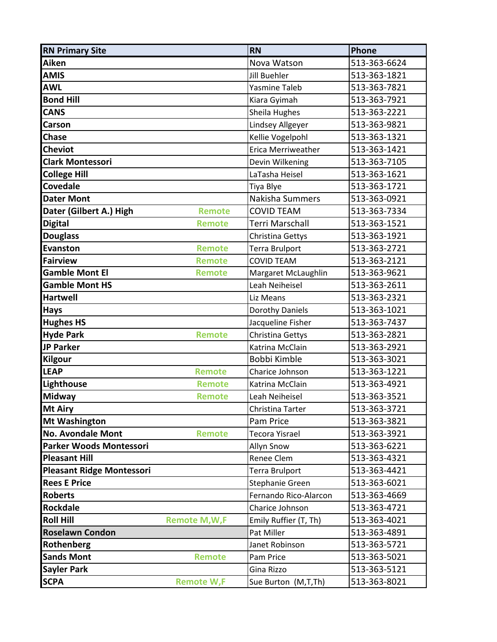| <b>RN Primary Site</b>           |                       | <b>RN</b>             | Phone        |
|----------------------------------|-----------------------|-----------------------|--------------|
| Aiken                            |                       | Nova Watson           | 513-363-6624 |
| <b>AMIS</b>                      |                       | <b>Jill Buehler</b>   | 513-363-1821 |
| <b>AWL</b>                       |                       | <b>Yasmine Taleb</b>  | 513-363-7821 |
| <b>Bond Hill</b>                 |                       | Kiara Gyimah          | 513-363-7921 |
| <b>CANS</b>                      |                       | Sheila Hughes         | 513-363-2221 |
| Carson                           |                       | Lindsey Allgeyer      | 513-363-9821 |
| <b>Chase</b>                     |                       | Kellie Vogelpohl      | 513-363-1321 |
| <b>Cheviot</b>                   |                       | Erica Merriweather    | 513-363-1421 |
| <b>Clark Montessori</b>          |                       | Devin Wilkening       | 513-363-7105 |
| <b>College Hill</b>              |                       | LaTasha Heisel        | 513-363-1621 |
| <b>Covedale</b>                  |                       | Tiya Blye             | 513-363-1721 |
| <b>Dater Mont</b>                |                       | Nakisha Summers       | 513-363-0921 |
| Dater (Gilbert A.) High          | <b>Remote</b>         | <b>COVID TEAM</b>     | 513-363-7334 |
| <b>Digital</b>                   | <b>Remote</b>         | Terri Marschall       | 513-363-1521 |
| <b>Douglass</b>                  |                       | Christina Gettys      | 513-363-1921 |
| <b>Evanston</b>                  | <b>Remote</b>         | <b>Terra Brulport</b> | 513-363-2721 |
| <b>Fairview</b>                  | <b>Remote</b>         | <b>COVID TEAM</b>     | 513-363-2121 |
| <b>Gamble Mont El</b>            | <b>Remote</b>         | Margaret McLaughlin   | 513-363-9621 |
| <b>Gamble Mont HS</b>            |                       | Leah Neiheisel        | 513-363-2611 |
| <b>Hartwell</b>                  |                       | Liz Means             | 513-363-2321 |
| <b>Hays</b>                      |                       | Dorothy Daniels       | 513-363-1021 |
| <b>Hughes HS</b>                 |                       | Jacqueline Fisher     | 513-363-7437 |
| <b>Hyde Park</b>                 | <b>Remote</b>         | Christina Gettys      | 513-363-2821 |
| <b>JP Parker</b>                 |                       | Katrina McClain       | 513-363-2921 |
| <b>Kilgour</b>                   |                       | Bobbi Kimble          | 513-363-3021 |
| <b>LEAP</b>                      | Remote                | Charice Johnson       | 513-363-1221 |
| Lighthouse                       | <b>Remote</b>         | Katrina McClain       | 513-363-4921 |
| <b>Midway</b>                    | <b>Remote</b>         | Leah Neiheisel        | 513-363-3521 |
| Mt Airy                          |                       | Christina Tarter      | 513-363-3721 |
| <b>Mt Washington</b>             |                       | Pam Price             | 513-363-3821 |
| No. Avondale Mont                | <b>Remote</b>         | <b>Tecora Yisrael</b> | 513-363-3921 |
| Parker Woods Montessori          |                       | Allyn Snow            | 513-363-6221 |
| <b>Pleasant Hill</b>             |                       | Renee Clem            | 513-363-4321 |
| <b>Pleasant Ridge Montessori</b> |                       | Terra Brulport        | 513-363-4421 |
| <b>Rees E Price</b>              |                       | Stephanie Green       | 513-363-6021 |
| <b>Roberts</b>                   |                       | Fernando Rico-Alarcon | 513-363-4669 |
| <b>Rockdale</b>                  |                       | Charice Johnson       | 513-363-4721 |
| <b>Roll Hill</b>                 | <b>Remote M, W, F</b> | Emily Ruffier (T, Th) | 513-363-4021 |
| <b>Roselawn Condon</b>           |                       | Pat Miller            | 513-363-4891 |
| Rothenberg                       |                       | Janet Robinson        | 513-363-5721 |
| <b>Sands Mont</b>                | <b>Remote</b>         | Pam Price             | 513-363-5021 |
| <b>Sayler Park</b>               |                       | Gina Rizzo            | 513-363-5121 |
| <b>SCPA</b>                      | <b>Remote W,F</b>     | Sue Burton (M,T,Th)   | 513-363-8021 |